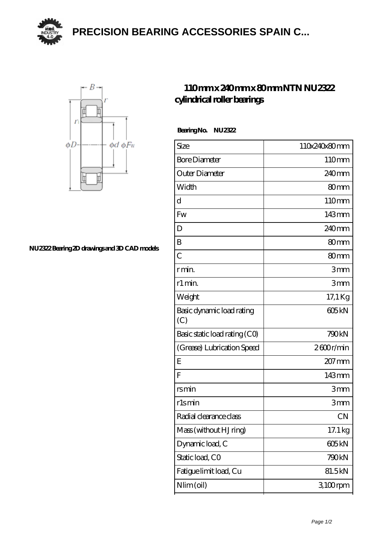**[PRECISION BEARING ACCESSORIES SPAIN C...](https://m.yjmox.com)**





**[NU2322 Bearing 2D drawings and 3D CAD models](https://m.yjmox.com/pic-168078.html)**

## **[110 mm x 240 mm x 80 mm NTN NU2322](https://m.yjmox.com/au-168078-ntn-nu2322-cylindrical-roller-bearings.html) [cylindrical roller bearings](https://m.yjmox.com/au-168078-ntn-nu2322-cylindrical-roller-bearings.html)**

 **Bearing No. NU2322**

| Size                             | 110x240x80mm      |
|----------------------------------|-------------------|
| <b>Bore Diameter</b>             | 110mm             |
| Outer Diameter                   | 240 <sub>mm</sub> |
| Width                            | 80mm              |
| d                                | 110mm             |
| <b>Fw</b>                        | 143mm             |
| D                                | 240 <sub>mm</sub> |
| B                                | 80 <sub>mm</sub>  |
| $\overline{C}$                   | 80 <sub>mm</sub>  |
| r min.                           | 3mm               |
| r1 min.                          | 3mm               |
| Weight                           | 17,1 Kg           |
| Basic dynamic load rating<br>(C) | 605 <sub>kN</sub> |
| Basic static load rating (CO)    | 790kN             |
| (Grease) Lubrication Speed       | 2600r/min         |
| Ε                                | $207$ mm          |
| F                                | 143mm             |
| rsmin                            | 3mm               |
| r1smin                           | 3mm               |
| Radial clearance class           | CN                |
| Mass (without HJ ring)           | 17.1 kg           |
| Dynamic load, C                  | 605 <sub>kN</sub> |
| Static load, CO                  | 790kN             |
| Fatigue limit load, Cu           | 81.5kN            |
| $Nlim$ (oil)                     | $3100$ rpm        |
|                                  |                   |